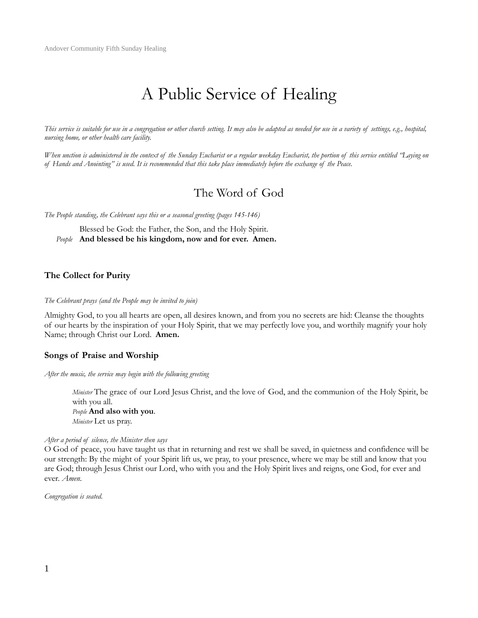# A Public Service of Healing

*This service is suitable for use in a congregation or other church setting. It may also be adapted as needed for use in a variety of settings, e.g., hospital, nursing home, or other health care facility.* 

*When unction is administered in the context of the Sunday Eucharist or a regular weekday Eucharist, the portion of this service entitled "Laying on of Hands and Anointing" is used. It is recommended that this take place immediately before the exchange of the Peace.* 

## The Word of God

*The People standing, the Celebrant says this or a seasonal greeting (pages 145-146)*

Blessed be God: the Father, the Son, and the Holy Spirit. *People* **And blessed be his kingdom, now and for ever. Amen.**

## **The Collect for Purity**

#### *The Celebrant prays (and the People may be invited to join)*

Almighty God, to you all hearts are open, all desires known, and from you no secrets are hid: Cleanse the thoughts of our hearts by the inspiration of your Holy Spirit, that we may perfectly love you, and worthily magnify your holy Name; through Christ our Lord. **Amen.**

## **Songs of Praise and Worship**

*After the music, the service may begin with the following greeting* 

*Minister* The grace of our Lord Jesus Christ, and the love of God, and the communion of the Holy Spirit, be with you all. *People* **And also with you**. *Minister* Let us pray.

#### *After a period of silence, the Minister then says*

O God of peace, you have taught us that in returning and rest we shall be saved, in quietness and confidence will be our strength: By the might of your Spirit lift us, we pray, to your presence, where we may be still and know that you are God; through Jesus Christ our Lord, who with you and the Holy Spirit lives and reigns, one God, for ever and ever. *Amen.* 

*Congregation is seated.*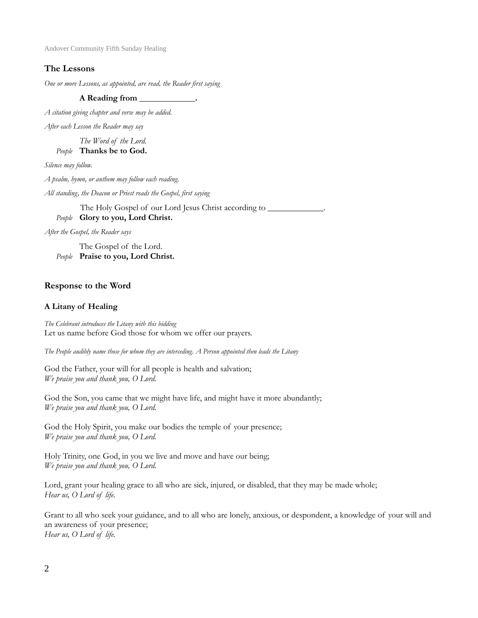## **The Lessons**

*One or more Lessons, as appointed, are read, the Reader first saying*

## **A Reading from \_\_\_\_\_\_\_\_\_\_\_\_\_.**

*A citation giving chapter and verse may be added.* 

*After each Lesson the Reader may say*

*The Word of the Lord. People* **Thanks be to God.**

*Silence may follow.*

*A psalm, hymn, or anthem may follow each reading.*

*All standing, the Deacon or Priest reads the Gospel, first saying*

The Holy Gospel of our Lord Jesus Christ according to  $\blacksquare$ *People* **Glory to you, Lord Christ.**

*After the Gospel, the Reader says*

The Gospel of the Lord. *People* **Praise to you, Lord Christ.**

## **Response to the Word**

## **A Litany of Healing**

*The Celebrant introduces the Litany with this bidding*  Let us name before God those for whom we offer our prayers.

*The People audibly name those for whom they are interceding. A Person appointed then leads the Litany* 

God the Father, your will for all people is health and salvation; *We praise you and thank you, O Lord.* 

God the Son, you came that we might have life, and might have it more abundantly; *We praise you and thank you, O Lord.* 

God the Holy Spirit, you make our bodies the temple of your presence; *We praise you and thank you, O Lord.* 

Holy Trinity, one God, in you we live and move and have our being; *We praise you and thank you, O Lord.* 

Lord, grant your healing grace to all who are sick, injured, or disabled, that they may be made whole; *Hear us, O Lord of life.* 

Grant to all who seek your guidance, and to all who are lonely, anxious, or despondent, a knowledge of your will and an awareness of your presence; *Hear us, O Lord of life.*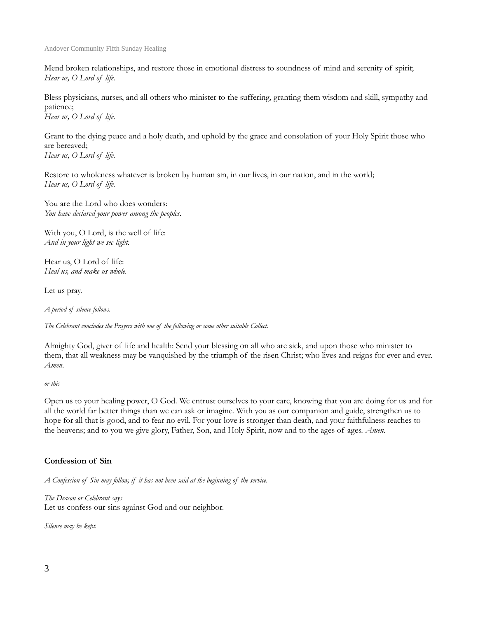Mend broken relationships, and restore those in emotional distress to soundness of mind and serenity of spirit; *Hear us, O Lord of life.* 

Bless physicians, nurses, and all others who minister to the suffering, granting them wisdom and skill, sympathy and patience;

*Hear us, O Lord of life.* 

Grant to the dying peace and a holy death, and uphold by the grace and consolation of your Holy Spirit those who are bereaved;

*Hear us, O Lord of life.* 

Restore to wholeness whatever is broken by human sin, in our lives, in our nation, and in the world; *Hear us, O Lord of life.* 

You are the Lord who does wonders: *You have declared your power among the peoples.* 

With you, O Lord, is the well of life: *And in your light we see light.* 

Hear us, O Lord of life: *Heal us, and make us whole.* 

Let us pray.

*A period of silence follows.* 

*The Celebrant concludes the Prayers with one of the following or some other suitable Collect.* 

Almighty God, giver of life and health: Send your blessing on all who are sick, and upon those who minister to them, that all weakness may be vanquished by the triumph of the risen Christ; who lives and reigns for ever and ever. *Amen.* 

*or this* 

Open us to your healing power, O God. We entrust ourselves to your care, knowing that you are doing for us and for all the world far better things than we can ask or imagine. With you as our companion and guide, strengthen us to hope for all that is good, and to fear no evil. For your love is stronger than death, and your faithfulness reaches to the heavens; and to you we give glory, Father, Son, and Holy Spirit, now and to the ages of ages. *Amen.* 

## **Confession of Sin**

*A Confession of Sin may follow, if it has not been said at the beginning of the service.* 

*The Deacon or Celebrant says*  Let us confess our sins against God and our neighbor.

*Silence may be kept.*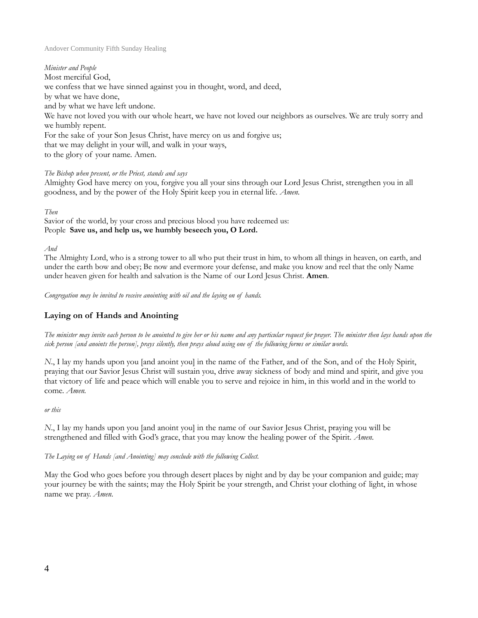*Minister and People*  Most merciful God, we confess that we have sinned against you in thought, word, and deed, by what we have done, and by what we have left undone. We have not loved you with our whole heart, we have not loved our neighbors as ourselves. We are truly sorry and we humbly repent. For the sake of your Son Jesus Christ, have mercy on us and forgive us; that we may delight in your will, and walk in your ways, to the glory of your name. Amen.

*The Bishop when present, or the Priest, stands and says* 

Almighty God have mercy on you, forgive you all your sins through our Lord Jesus Christ, strengthen you in all goodness, and by the power of the Holy Spirit keep you in eternal life. *Amen.* 

### *Then*

Savior of the world, by your cross and precious blood you have redeemed us: People **Save us, and help us, we humbly beseech you, O Lord.**

*And*

The Almighty Lord, who is a strong tower to all who put their trust in him, to whom all things in heaven, on earth, and under the earth bow and obey; Be now and evermore your defense, and make you know and reel that the only Name under heaven given for health and salvation is the Name of our Lord Jesus Christ. **Amen**.

*Congregation may be invited to receive anointing with oil and the laying on of hands.*

## **Laying on of Hands and Anointing**

*The minister may invite each person to be anointed to give her or his name and any particular request for prayer. The minister then lays hands upon the sick person [and anoints the person], prays silently, then prays aloud using one of the following forms or similar words.* 

*N*., I lay my hands upon you [and anoint you] in the name of the Father, and of the Son, and of the Holy Spirit, praying that our Savior Jesus Christ will sustain you, drive away sickness of body and mind and spirit, and give you that victory of life and peace which will enable you to serve and rejoice in him, in this world and in the world to come. *Amen.* 

## *or this*

*N*., I lay my hands upon you [and anoint you] in the name of our Savior Jesus Christ, praying you will be strengthened and filled with God's grace, that you may know the healing power of the Spirit. *Amen.* 

*The Laying on of Hands [and Anointing] may conclude with the following Collect.* 

May the God who goes before you through desert places by night and by day be your companion and guide; may your journey be with the saints; may the Holy Spirit be your strength, and Christ your clothing of light, in whose name we pray. *Amen.*